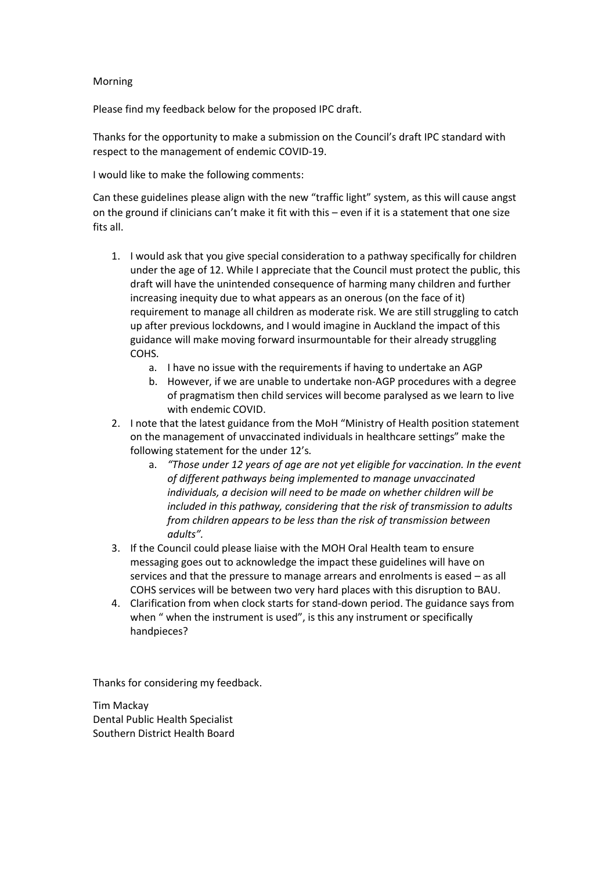## Morning

Please find my feedback below for the proposed IPC draft.

Thanks for the opportunity to make a submission on the Council's draft IPC standard with respect to the management of endemic COVID-19.

I would like to make the following comments:

Can these guidelines please align with the new "traffic light" system, as this will cause angst on the ground if clinicians can't make it fit with this – even if it is a statement that one size fits all.

- 1. I would ask that you give special consideration to a pathway specifically for children under the age of 12. While I appreciate that the Council must protect the public, this draft will have the unintended consequence of harming many children and further increasing inequity due to what appears as an onerous (on the face of it) requirement to manage all children as moderate risk. We are still struggling to catch up after previous lockdowns, and I would imagine in Auckland the impact of this guidance will make moving forward insurmountable for their already struggling COHS.
	- a. I have no issue with the requirements if having to undertake an AGP
	- b. However, if we are unable to undertake non-AGP procedures with a degree of pragmatism then child services will become paralysed as we learn to live with endemic COVID.
- 2. I note that the latest guidance from the MoH "Ministry of Health position statement on the management of unvaccinated individuals in healthcare settings" make the following statement for the under 12's*.* 
	- a. *"Those under 12 years of age are not yet eligible for vaccination. In the event of different pathways being implemented to manage unvaccinated individuals, a decision will need to be made on whether children will be included in this pathway, considering that the risk of transmission to adults from children appears to be less than the risk of transmission between adults".*
- 3. If the Council could please liaise with the MOH Oral Health team to ensure messaging goes out to acknowledge the impact these guidelines will have on services and that the pressure to manage arrears and enrolments is eased – as all COHS services will be between two very hard places with this disruption to BAU.
- 4. Clarification from when clock starts for stand-down period. The guidance says from when " when the instrument is used", is this any instrument or specifically handpieces?

Thanks for considering my feedback.

Tim Mackay Dental Public Health Specialist Southern District Health Board